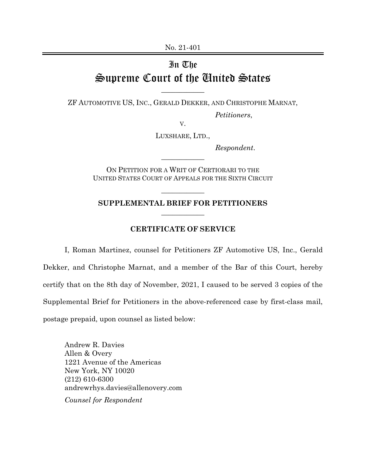No. 21-401

## In The Supreme Court of the United States

ZF AUTOMOTIVE US, INC., GERALD DEKKER, AND CHRISTOPHE MARNAT,

 $\overline{\phantom{a}}$  , where  $\overline{\phantom{a}}$ 

*Petitioners*,

V.

LUXSHARE, LTD.,

*Respondent*.

ON PETITION FOR A WRIT OF CERTIORARI TO THE UNITED STATES COURT OF APPEALS FOR THE SIXTH CIRCUIT

 $\overline{\phantom{a}}$  , where  $\overline{\phantom{a}}$ 

## **SUPPLEMENTAL BRIEF FOR PETITIONERS**   $\overline{\phantom{a}}$  , where  $\overline{\phantom{a}}$

 $\overline{\phantom{a}}$  , where  $\overline{\phantom{a}}$ 

## **CERTIFICATE OF SERVICE**

I, Roman Martinez, counsel for Petitioners ZF Automotive US, Inc., Gerald Dekker, and Christophe Marnat, and a member of the Bar of this Court, hereby certify that on the 8th day of November, 2021, I caused to be served 3 copies of the Supplemental Brief for Petitioners in the above-referenced case by first-class mail, postage prepaid, upon counsel as listed below:

Andrew R. Davies Allen & Overy 1221 Avenue of the Americas New York, NY 10020 (212) 610-6300 andrewrhys.davies@allenovery.com *Counsel for Respondent*